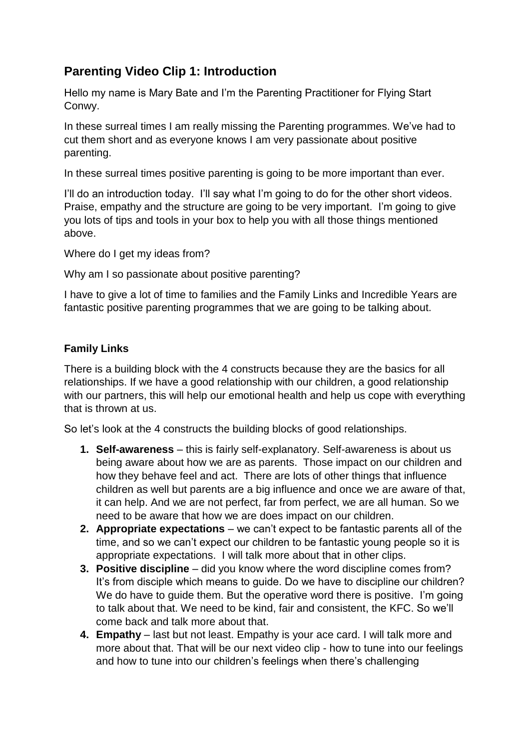## **Parenting Video Clip 1: Introduction**

Hello my name is Mary Bate and I'm the Parenting Practitioner for Flying Start Conwy.

In these surreal times I am really missing the Parenting programmes. We've had to cut them short and as everyone knows I am very passionate about positive parenting.

In these surreal times positive parenting is going to be more important than ever.

I'll do an introduction today. I'll say what I'm going to do for the other short videos. Praise, empathy and the structure are going to be very important. I'm going to give you lots of tips and tools in your box to help you with all those things mentioned above.

Where do I get my ideas from?

Why am I so passionate about positive parenting?

I have to give a lot of time to families and the Family Links and Incredible Years are fantastic positive parenting programmes that we are going to be talking about.

## **Family Links**

There is a building block with the 4 constructs because they are the basics for all relationships. If we have a good relationship with our children, a good relationship with our partners, this will help our emotional health and help us cope with everything that is thrown at us.

So let's look at the 4 constructs the building blocks of good relationships.

- **1. Self-awareness** this is fairly self-explanatory. Self-awareness is about us being aware about how we are as parents. Those impact on our children and how they behave feel and act. There are lots of other things that influence children as well but parents are a big influence and once we are aware of that, it can help. And we are not perfect, far from perfect, we are all human. So we need to be aware that how we are does impact on our children.
- **2. Appropriate expectations**  we can't expect to be fantastic parents all of the time, and so we can't expect our children to be fantastic young people so it is appropriate expectations. I will talk more about that in other clips.
- **3. Positive discipline** did you know where the word discipline comes from? It's from disciple which means to guide. Do we have to discipline our children? We do have to guide them. But the operative word there is positive. I'm going to talk about that. We need to be kind, fair and consistent, the KFC. So we'll come back and talk more about that.
- **4. Empathy** last but not least. Empathy is your ace card. I will talk more and more about that. That will be our next video clip - how to tune into our feelings and how to tune into our children's feelings when there's challenging